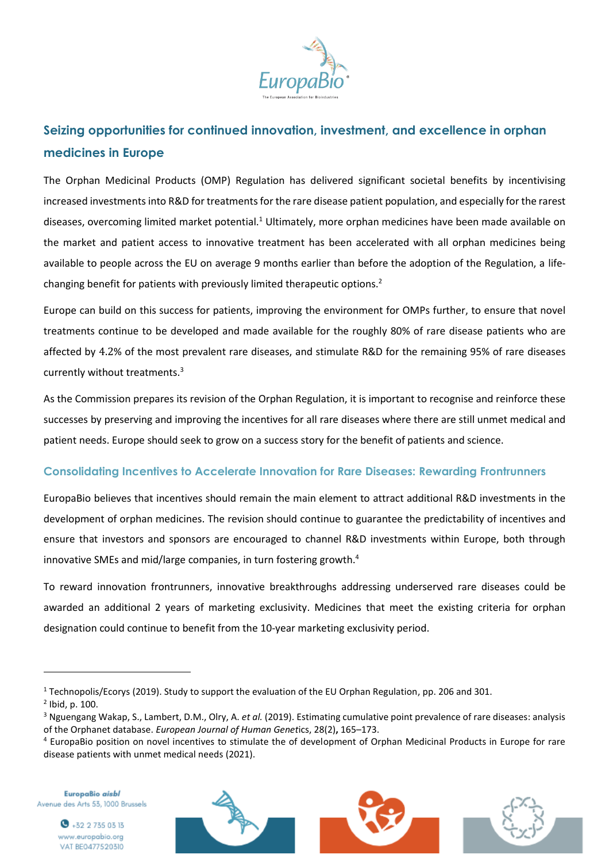

# **Seizing opportunities for continued innovation, investment, and excellence in orphan medicines in Europe**

The Orphan Medicinal Products (OMP) Regulation has delivered significant societal benefits by incentivising increased investments into R&D for treatments for the rare disease patient population, and especially for the rarest diseases, overcoming limited market potential.<sup>1</sup> Ultimately, more orphan medicines have been made available on the market and patient access to innovative treatment has been accelerated with all orphan medicines being available to people across the EU on average 9 months earlier than before the adoption of the Regulation, a lifechanging benefit for patients with previously limited therapeutic options.<sup>2</sup>

Europe can build on this success for patients, improving the environment for OMPs further, to ensure that novel treatments continue to be developed and made available for the roughly 80% of rare disease patients who are affected by 4.2% of the most prevalent rare diseases, and stimulate R&D for the remaining 95% of rare diseases currently without treatments.<sup>3</sup>

As the Commission prepares its revision of the Orphan Regulation, it is important to recognise and reinforce these successes by preserving and improving the incentives for all rare diseases where there are still unmet medical and patient needs. Europe should seek to grow on a success story for the benefit of patients and science.

### **Consolidating Incentives to Accelerate Innovation for Rare Diseases: Rewarding Frontrunners**

EuropaBio believes that incentives should remain the main element to attract additional R&D investments in the development of orphan medicines. The revision should continue to guarantee the predictability of incentives and ensure that investors and sponsors are encouraged to channel R&D investments within Europe, both through innovative SMEs and mid/large companies, in turn fostering growth.<sup>4</sup>

To reward innovation frontrunners, innovative breakthroughs addressing underserved rare diseases could be awarded an additional 2 years of marketing exclusivity. Medicines that meet the existing criteria for orphan designation could continue to benefit from the 10-year marketing exclusivity period.

EuropaBio aisbl Avenue des Arts 53, 1000 Brussels





<sup>&</sup>lt;sup>1</sup> Technopolis/Ecorys (2019). Study to support the evaluation of the EU Orphan Regulation, pp. 206 and 301.

<sup>2</sup> Ibid, p. 100.

<sup>3</sup> Nguengang Wakap, S., Lambert, D.M., Olry, A. *et al.* (2019). Estimating cumulative point prevalence of rare diseases: analysis of the Orphanet database. *European Journal of Human Genet*ics, 28(2)**,** 165–173.

<sup>4</sup> EuropaBio position on novel incentives to stimulate the of development of Orphan Medicinal Products in Europe for rare disease patients with unmet medical needs (2021).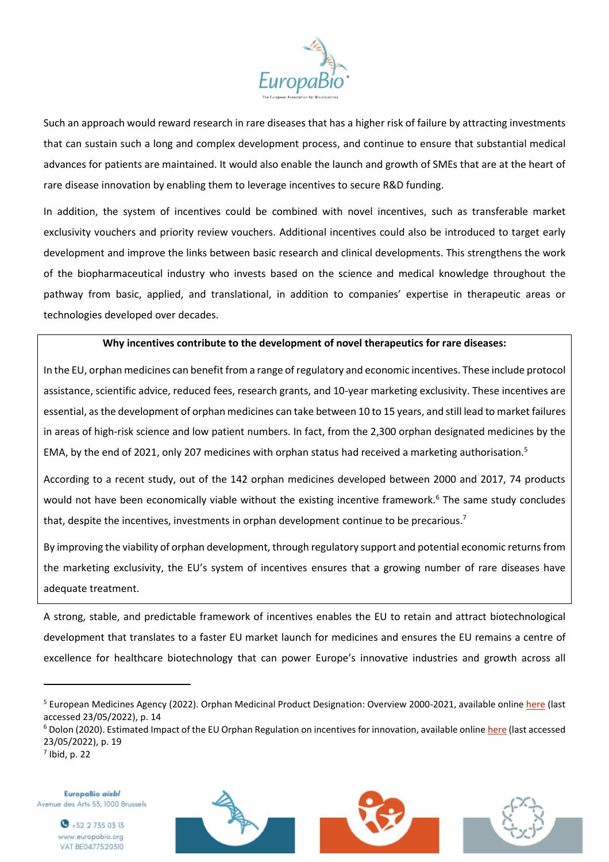

Such an approach would reward research in rare diseases that has a higher risk of failure by attracting investments that can sustain such a long and complex development process, and continue to ensure that substantial medical advances for patients are maintained. It would also enable the launch and growth of SMEs that are at the heart of rare disease innovation by enabling them to leverage incentives to secure R&D funding.

In addition, the system of incentives could be combined with novel incentives, such as transferable market exclusivity vouchers and priority review vouchers. Additional incentives could also be introduced to target early development and improve the links between basic research and clinical developments. This strengthens the work of the biopharmaceutical industry who invests based on the science and medical knowledge throughout the pathway from basic, applied, and translational, in addition to companies' expertise in therapeutic areas or technologies developed over decades.

#### **Why incentives contribute to the development of novel therapeutics for rare diseases:**

In the EU, orphan medicines can benefit from a range of regulatory and economic incentives. These include protocol assistance, scientific advice, reduced fees, research grants, and 10-year marketing exclusivity. These incentives are essential, as the development of orphan medicines can take between 10 to 15 years, and still lead to market failures in areas of high-risk science and low patient numbers. In fact, from the 2,300 orphan designated medicines by the EMA, by the end of 2021, only 207 medicines with orphan status had received a marketing authorisation.<sup>5</sup>

According to a recent study, out of the 142 orphan medicines developed between 2000 and 2017, 74 products would not have been economically viable without the existing incentive framework.<sup>6</sup> The same study concludes that, despite the incentives, investments in orphan development continue to be precarious.<sup>7</sup>

By improving the viability of orphan development, through regulatory support and potential economic returns from the marketing exclusivity, the EU's system of incentives ensures that a growing number of rare diseases have adequate treatment.

A strong, stable, and predictable framework of incentives enables the EU to retain and attract biotechnological development that translates to a faster EU market launch for medicines and ensures the EU remains a centre of excellence for healthcare biotechnology that can power Europe's innovative industries and growth across all

 $<sup>7</sup>$  Ibid, p. 22</sup>

EuropaBio aisbl Avenue des Arts 53, 1000 Brussels







<sup>&</sup>lt;sup>5</sup> European Medicines Agency (2022). Orphan Medicinal Product Designation: Overview 2000-2021, available online [here](https://www.ema.europa.eu/en/documents/other/orphan-medicines-figures-2000-2021_en.pdf) (last accessed 23/05/2022), p. 14

<sup>&</sup>lt;sup>6</sup> Dolon (2020). Estimated Impact of the EU Orphan Regulation on incentives for innovation, available onlin[e here](https://dolon.com/dolon/wp-content/uploads/2020/10/Estimated-impact-of-EU-Orphan-Regulation-on-incentives-for-innovation.pdf) (last accessed 23/05/2022), p. 19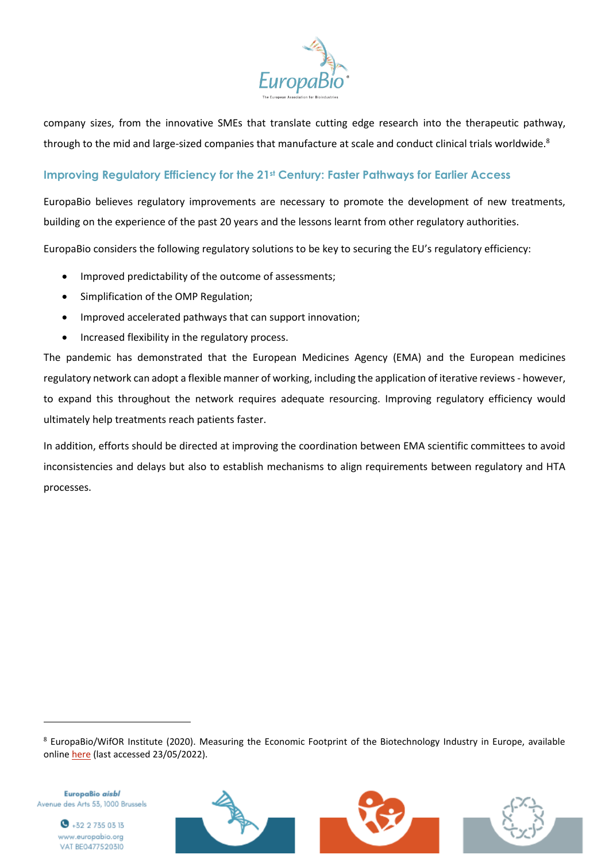

company sizes, from the innovative SMEs that translate cutting edge research into the therapeutic pathway, through to the mid and large-sized companies that manufacture at scale and conduct clinical trials worldwide. $^8$ 

## **Improving Regulatory Efficiency for the 21st Century: Faster Pathways for Earlier Access**

EuropaBio believes regulatory improvements are necessary to promote the development of new treatments, building on the experience of the past 20 years and the lessons learnt from other regulatory authorities.

EuropaBio considers the following regulatory solutions to be key to securing the EU's regulatory efficiency:

- Improved predictability of the outcome of assessments;
- Simplification of the OMP Regulation;
- Improved accelerated pathways that can support innovation;
- Increased flexibility in the regulatory process.

The pandemic has demonstrated that the European Medicines Agency (EMA) and the European medicines regulatory network can adopt a flexible manner of working, including the application of iterative reviews - however, to expand this throughout the network requires adequate resourcing. Improving regulatory efficiency would ultimately help treatments reach patients faster.

In addition, efforts should be directed at improving the coordination between EMA scientific committees to avoid inconsistencies and delays but also to establish mechanisms to align requirements between regulatory and HTA processes.

<sup>8</sup> EuropaBio/WifOR Institute (2020). Measuring the Economic Footprint of the Biotechnology Industry in Europe, available online [here](https://www.europabio.org/wp-content/uploads/2021/02/201208_WifOR_EuropaBIO_Economic_Impact_Biotech_FINAL.pdf) (last accessed 23/05/2022).

EuropaBio aisbl Avenue des Arts 53, 1000 Brussels

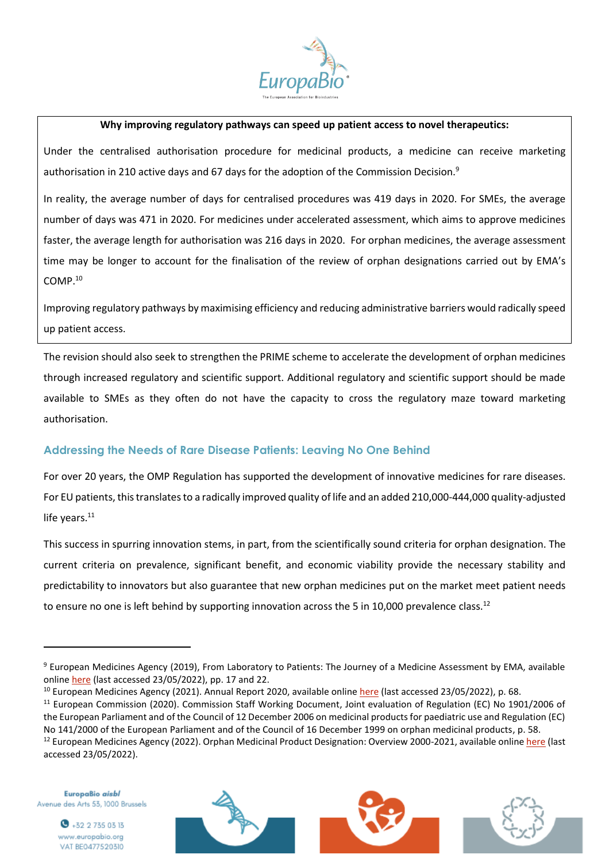

#### **Why improving regulatory pathways can speed up patient access to novel therapeutics:**

Under the centralised authorisation procedure for medicinal products, a medicine can receive marketing authorisation in 210 active days and 67 days for the adoption of the Commission Decision.<sup>9</sup>

In reality, the average number of days for centralised procedures was 419 days in 2020. For SMEs, the average number of days was 471 in 2020. For medicines under accelerated assessment, which aims to approve medicines faster, the average length for authorisation was 216 days in 2020. For orphan medicines, the average assessment time may be longer to account for the finalisation of the review of orphan designations carried out by EMA's COMP.<sup>10</sup>

Improving regulatory pathways by maximising efficiency and reducing administrative barriers would radically speed up patient access.

The revision should also seek to strengthen the PRIME scheme to accelerate the development of orphan medicines through increased regulatory and scientific support. Additional regulatory and scientific support should be made available to SMEs as they often do not have the capacity to cross the regulatory maze toward marketing authorisation.

## **Addressing the Needs of Rare Disease Patients: Leaving No One Behind**

For over 20 years, the OMP Regulation has supported the development of innovative medicines for rare diseases. For EU patients, this translates to a radically improved quality of life and an added 210,000-444,000 quality-adjusted life years. $11$ 

This success in spurring innovation stems, in part, from the scientifically sound criteria for orphan designation. The current criteria on prevalence, significant benefit, and economic viability provide the necessary stability and predictability to innovators but also guarantee that new orphan medicines put on the market meet patient needs to ensure no one is left behind by supporting innovation across the 5 in 10,000 prevalence class.<sup>12</sup>

EuropaBio aisbl Avenue des Arts 53, 1000 Brussels







<sup>&</sup>lt;sup>9</sup> European Medicines Agency (2019), From Laboratory to Patients: The Journey of a Medicine Assessment by EMA, available online [here](https://www.ema.europa.eu/en/documents/other/laboratory-patient-journey-centrally-authorised-medicine_en.pdf) (last accessed 23/05/2022), pp. 17 and 22.

<sup>&</sup>lt;sup>10</sup> European Medicines Agency (2021). Annual Report 2020, available onlin[e here](https://www.ema.europa.eu/en/documents/annual-report/2020-annual-report-european-medicines-agency_en.pdf) (last accessed 23/05/2022), p. 68.

<sup>&</sup>lt;sup>11</sup> European Commission (2020). Commission Staff Working Document, Joint evaluation of Regulation (EC) No 1901/2006 of the European Parliament and of the Council of 12 December 2006 on medicinal products for paediatric use and Regulation (EC) No 141/2000 of the European Parliament and of the Council of 16 December 1999 on orphan medicinal products, p. 58.

<sup>&</sup>lt;sup>12</sup> European Medicines Agency (2022). Orphan Medicinal Product Designation: Overview 2000-2021, available onlin[e here](https://www.ema.europa.eu/en/documents/other/orphan-medicines-figures-2000-2021_en.pdf) (last accessed 23/05/2022).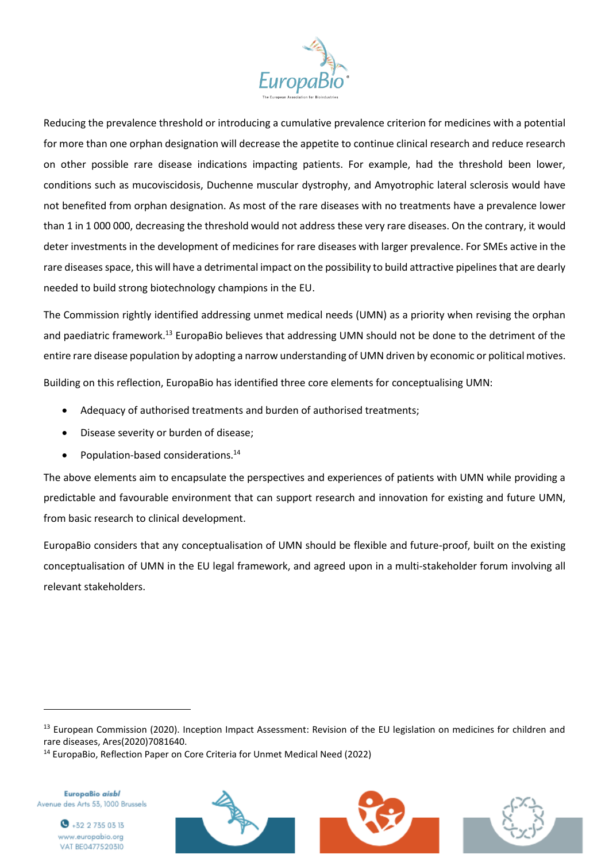

Reducing the prevalence threshold or introducing a cumulative prevalence criterion for medicines with a potential for more than one orphan designation will decrease the appetite to continue clinical research and reduce research on other possible rare disease indications impacting patients. For example, had the threshold been lower, conditions such as mucoviscidosis, Duchenne muscular dystrophy, and Amyotrophic lateral sclerosis would have not benefited from orphan designation. As most of the rare diseases with no treatments have a prevalence lower than 1 in 1 000 000, decreasing the threshold would not address these very rare diseases. On the contrary, it would deter investments in the development of medicines for rare diseases with larger prevalence. For SMEs active in the rare diseases space, this will have a detrimental impact on the possibility to build attractive pipelines that are dearly needed to build strong biotechnology champions in the EU.

The Commission rightly identified addressing unmet medical needs (UMN) as a priority when revising the orphan and paediatric framework.<sup>13</sup> EuropaBio believes that addressing UMN should not be done to the detriment of the entire rare disease population by adopting a narrow understanding of UMN driven by economic or political motives. Building on this reflection, EuropaBio has identified three core elements for conceptualising UMN:

- Adequacy of authorised treatments and burden of authorised treatments;
- Disease severity or burden of disease;
- Population-based considerations.<sup>14</sup>

The above elements aim to encapsulate the perspectives and experiences of patients with UMN while providing a predictable and favourable environment that can support research and innovation for existing and future UMN, from basic research to clinical development.

EuropaBio considers that any conceptualisation of UMN should be flexible and future-proof, built on the existing conceptualisation of UMN in the EU legal framework, and agreed upon in a multi-stakeholder forum involving all relevant stakeholders.

EuropaBio aisbl Avenue des Arts 53, 1000 Brussels





<sup>13</sup> European Commission (2020). Inception Impact Assessment: Revision of the EU legislation on medicines for children and rare diseases, Ares(2020)7081640.

<sup>14</sup> EuropaBio, Reflection Paper on Core Criteria for Unmet Medical Need (2022)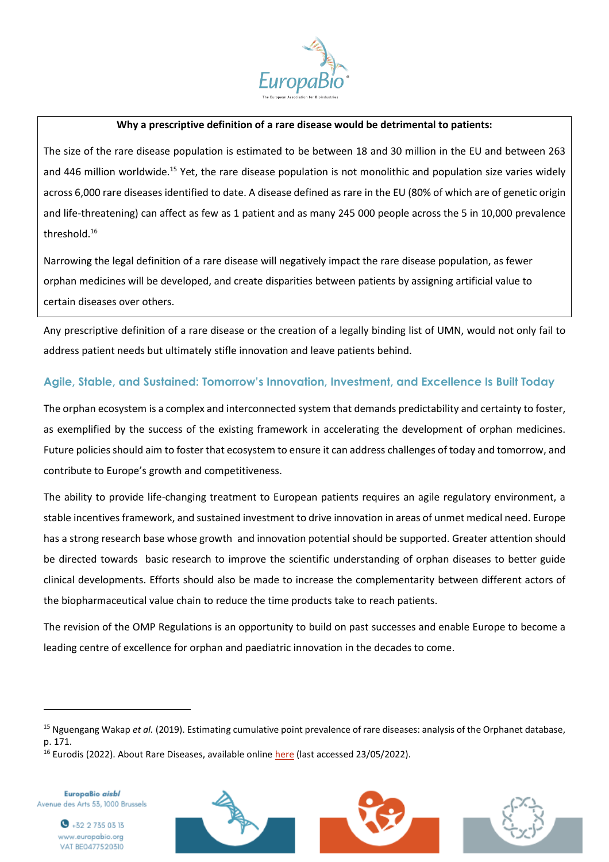

#### **Why a prescriptive definition of a rare disease would be detrimental to patients:**

The size of the rare disease population is estimated to be between 18 and 30 million in the EU and between 263 and 446 million worldwide.<sup>15</sup> Yet, the rare disease population is not monolithic and population size varies widely across 6,000 rare diseases identified to date. A disease defined as rare in the EU (80% of which are of genetic origin and life-threatening) can affect as few as 1 patient and as many 245 000 people across the 5 in 10,000 prevalence threshold. 16

Narrowing the legal definition of a rare disease will negatively impact the rare disease population, as fewer orphan medicines will be developed, and create disparities between patients by assigning artificial value to certain diseases over others.

Any prescriptive definition of a rare disease or the creation of a legally binding list of UMN, would not only fail to address patient needs but ultimately stifle innovation and leave patients behind.

## **Agile, Stable, and Sustained: Tomorrow's Innovation, Investment, and Excellence Is Built Today**

The orphan ecosystem is a complex and interconnected system that demands predictability and certainty to foster, as exemplified by the success of the existing framework in accelerating the development of orphan medicines. Future policies should aim to foster that ecosystem to ensure it can address challenges of today and tomorrow, and contribute to Europe's growth and competitiveness.

The ability to provide life-changing treatment to European patients requires an agile regulatory environment, a stable incentives framework, and sustained investment to drive innovation in areas of unmet medical need. Europe has a strong research base whose growth and innovation potential should be supported. Greater attention should be directed towards basic research to improve the scientific understanding of orphan diseases to better guide clinical developments. Efforts should also be made to increase the complementarity between different actors of the biopharmaceutical value chain to reduce the time products take to reach patients.

The revision of the OMP Regulations is an opportunity to build on past successes and enable Europe to become a leading centre of excellence for orphan and paediatric innovation in the decades to come.

EuropaBio aisbl Avenue des Arts 53, 1000 Brussels







<sup>15</sup> Nguengang Wakap *et al.* (2019). Estimating cumulative point prevalence of rare diseases: analysis of the Orphanet database, p. 171.

 $16$  Eurodis (2022). About Rare Diseases, available online [here](https://www.eurordis.org/about-rare-diseases) (last accessed 23/05/2022).